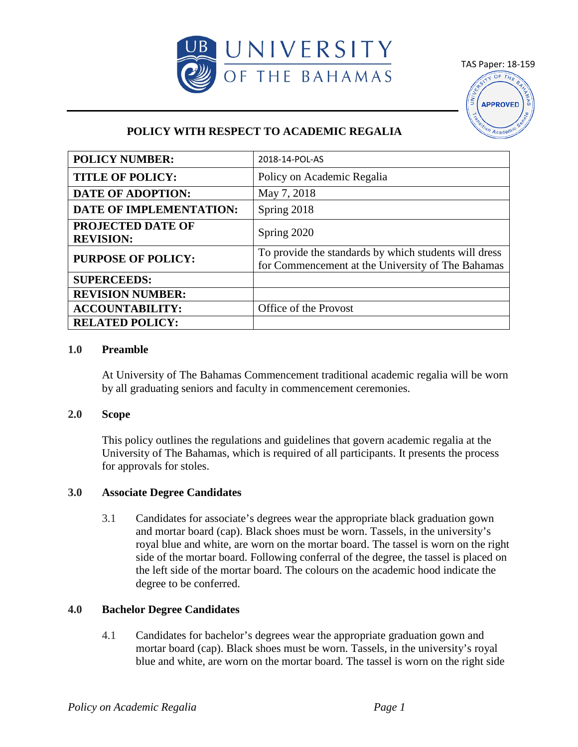

TAS Paper: 18-159 OF THE **APPROVED** 

# **POLICY WITH RESPECT TO ACADEMIC REGALIA**

| <b>POLICY NUMBER:</b>                        | 2018-14-POL-AS                                                                                             |
|----------------------------------------------|------------------------------------------------------------------------------------------------------------|
| <b>TITLE OF POLICY:</b>                      | Policy on Academic Regalia                                                                                 |
| <b>DATE OF ADOPTION:</b>                     | May 7, 2018                                                                                                |
| DATE OF IMPLEMENTATION:                      | Spring 2018                                                                                                |
| <b>PROJECTED DATE OF</b><br><b>REVISION:</b> | Spring 2020                                                                                                |
| <b>PURPOSE OF POLICY:</b>                    | To provide the standards by which students will dress<br>for Commencement at the University of The Bahamas |
| <b>SUPERCEEDS:</b>                           |                                                                                                            |
| <b>REVISION NUMBER:</b>                      |                                                                                                            |
| <b>ACCOUNTABILITY:</b>                       | Office of the Provost                                                                                      |
| <b>RELATED POLICY:</b>                       |                                                                                                            |

#### **1.0 Preamble**

At University of The Bahamas Commencement traditional academic regalia will be worn by all graduating seniors and faculty in commencement ceremonies.

#### **2.0 Scope**

This policy outlines the regulations and guidelines that govern academic regalia at the University of The Bahamas, which is required of all participants. It presents the process for approvals for stoles.

# **3.0 Associate Degree Candidates**

3.1 Candidates for associate's degrees wear the appropriate black graduation gown and mortar board (cap). Black shoes must be worn. Tassels, in the university's royal blue and white, are worn on the mortar board. The tassel is worn on the right side of the mortar board. Following conferral of the degree, the tassel is placed on the left side of the mortar board. The colours on the academic hood indicate the degree to be conferred.

# **4.0 Bachelor Degree Candidates**

4.1 Candidates for bachelor's degrees wear the appropriate graduation gown and mortar board (cap). Black shoes must be worn. Tassels, in the university's royal blue and white, are worn on the mortar board. The tassel is worn on the right side